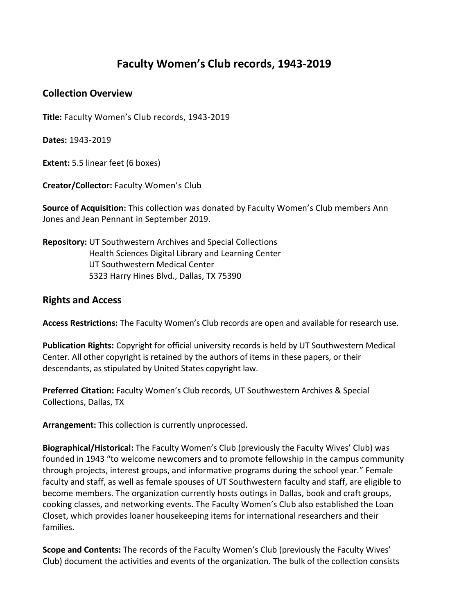## **Faculty Women's Club records, 1943-2019**

## **Collection Overview**

**Title:** Faculty Women's Club records, 1943-2019

**Dates:** 1943-2019

**Extent:** 5.5 linear feet (6 boxes)

**Creator/Collector:** Faculty Women's Club

**Source of Acquisition:** This collection was donated by Faculty Women's Club members Ann Jones and Jean Pennant in September 2019.

**Repository:** UT Southwestern Archives and Special Collections Health Sciences Digital Library and Learning Center UT Southwestern Medical Center 5323 Harry Hines Blvd., Dallas, TX 75390

## **Rights and Access**

**Access Restrictions:** The Faculty Women's Club records are open and available for research use.

**Publication Rights:** Copyright for official university records is held by UT Southwestern Medical Center. All other copyright is retained by the authors of items in these papers, or their descendants, as stipulated by United States copyright law.

**Preferred Citation:** Faculty Women's Club records, UT Southwestern Archives & Special Collections, Dallas, TX

**Arrangement:** This collection is currently unprocessed.

**Biographical/Historical:** The Faculty Women's Club (previously the Faculty Wives' Club) was founded in 1943 "to welcome newcomers and to promote fellowship in the campus community through projects, interest groups, and informative programs during the school year." Female faculty and staff, as well as female spouses of UT Southwestern faculty and staff, are eligible to become members. The organization currently hosts outings in Dallas, book and craft groups, cooking classes, and networking events. The Faculty Women's Club also established the Loan Closet, which provides loaner housekeeping items for international researchers and their families.

**Scope and Contents:** The records of the Faculty Women's Club (previously the Faculty Wives' Club) document the activities and events of the organization. The bulk of the collection consists